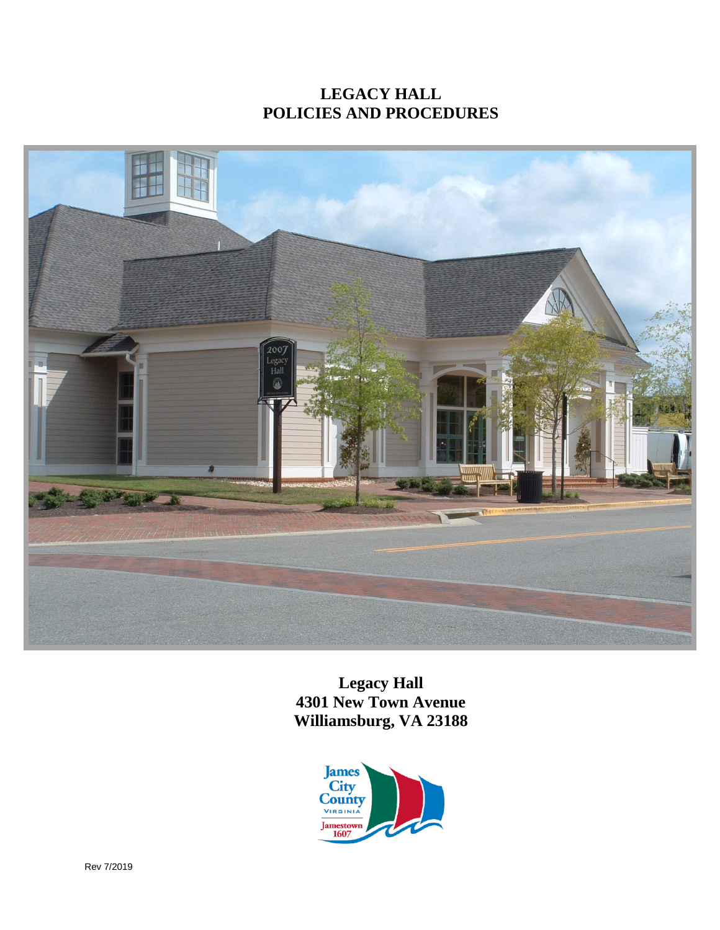# **LEGACY HALL POLICIES AND PROCEDURES**



**Legacy Hall 4301 New Town Avenue Williamsburg, VA 23188**

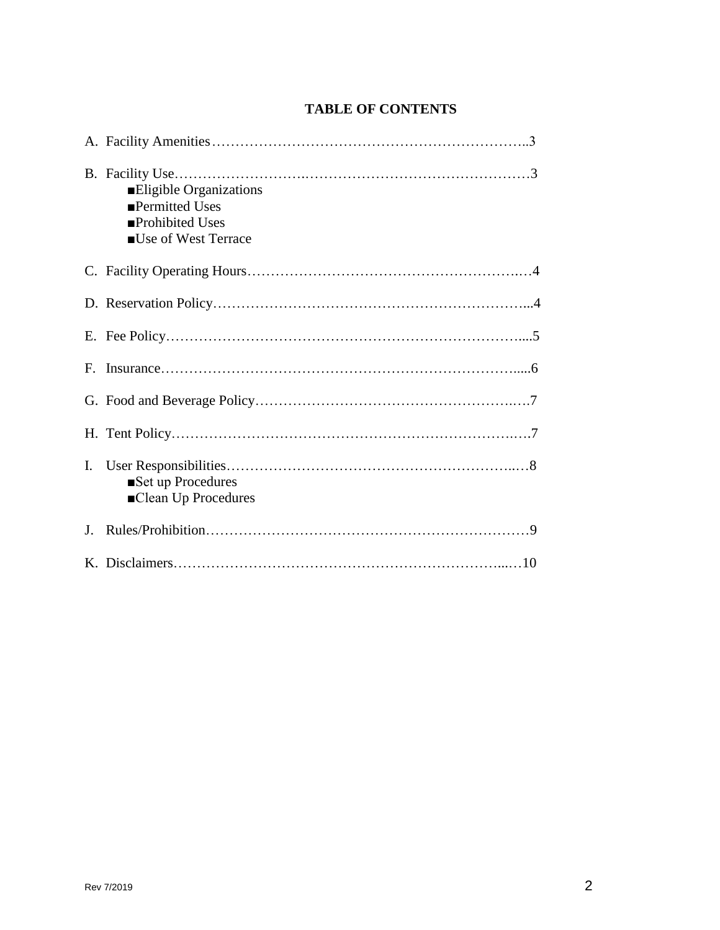### **TABLE OF CONTENTS**

|             | Eligible Organizations<br>■Permitted Uses<br>■Prohibited Uses<br>■Use of West Terrace |
|-------------|---------------------------------------------------------------------------------------|
|             |                                                                                       |
|             |                                                                                       |
|             |                                                                                       |
| $F_{\cdot}$ |                                                                                       |
|             |                                                                                       |
|             |                                                                                       |
| Ι.          | Set up Procedures<br>■Clean Up Procedures                                             |
| J.          |                                                                                       |
|             |                                                                                       |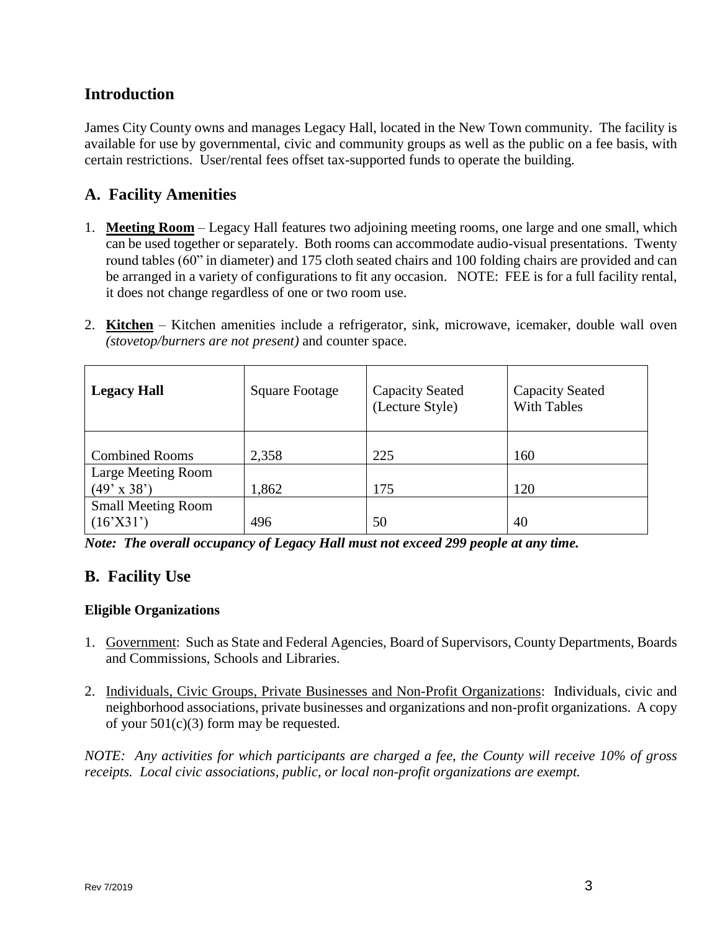## **Introduction**

James City County owns and manages Legacy Hall, located in the New Town community. The facility is available for use by governmental, civic and community groups as well as the public on a fee basis, with certain restrictions. User/rental fees offset tax-supported funds to operate the building.

## **A. Facility Amenities**

- 1. **Meeting Room** Legacy Hall features two adjoining meeting rooms, one large and one small, which can be used together or separately. Both rooms can accommodate audio-visual presentations. Twenty round tables (60" in diameter) and 175 cloth seated chairs and 100 folding chairs are provided and can be arranged in a variety of configurations to fit any occasion. NOTE: FEE is for a full facility rental, it does not change regardless of one or two room use.
- 2. **Kitchen** Kitchen amenities include a refrigerator, sink, microwave, icemaker, double wall oven *(stovetop/burners are not present)* and counter space.

| <b>Legacy Hall</b>                       | <b>Square Footage</b> | <b>Capacity Seated</b><br>(Lecture Style) | <b>Capacity Seated</b><br><b>With Tables</b> |
|------------------------------------------|-----------------------|-------------------------------------------|----------------------------------------------|
| <b>Combined Rooms</b>                    | 2,358                 | 225                                       | 160                                          |
| Large Meeting Room<br>$(49' \times 38')$ | 1,862                 | 175                                       | 120                                          |
| <b>Small Meeting Room</b><br>(16'X31')   | 496                   | 50                                        | 40                                           |

*Note: The overall occupancy of Legacy Hall must not exceed 299 people at any time.* 

## **B. Facility Use**

### **Eligible Organizations**

- 1. Government: Such as State and Federal Agencies, Board of Supervisors, County Departments, Boards and Commissions, Schools and Libraries.
- 2. Individuals, Civic Groups, Private Businesses and Non-Profit Organizations: Individuals, civic and neighborhood associations, private businesses and organizations and non-profit organizations. A copy of your  $501(c)(3)$  form may be requested.

*NOTE: Any activities for which participants are charged a fee, the County will receive 10% of gross receipts. Local civic associations, public, or local non-profit organizations are exempt.*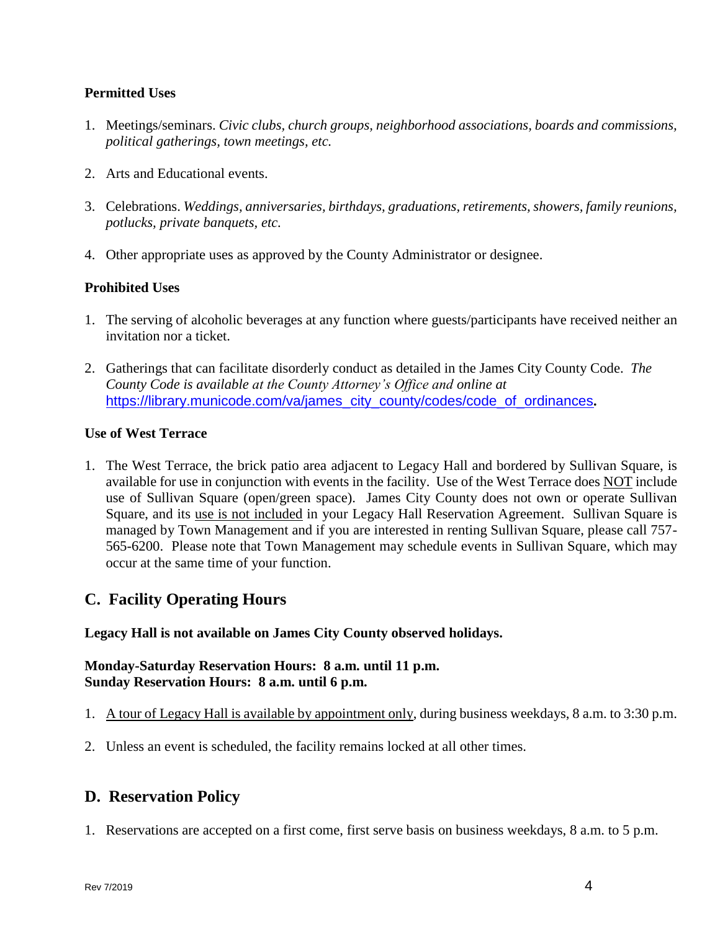### **Permitted Uses**

- 1. Meetings/seminars. *Civic clubs, church groups, neighborhood associations, boards and commissions, political gatherings, town meetings, etc.*
- 2. Arts and Educational events.
- 3. Celebrations. *Weddings, anniversaries, birthdays, graduations, retirements, showers, family reunions, potlucks, private banquets, etc.*
- 4. Other appropriate uses as approved by the County Administrator or designee.

### **Prohibited Uses**

- 1. The serving of alcoholic beverages at any function where guests/participants have received neither an invitation nor a ticket.
- 2. Gatherings that can facilitate disorderly conduct as detailed in the James City County Code. *The County Code is available at the County Attorney's Office and online at* [https://library.municode.com/va/james\\_city\\_county/codes/code\\_of\\_ordinances](https://library.municode.com/va/james_city_county/codes/code_of_ordinances)*.*

### **Use of West Terrace**

1. The West Terrace, the brick patio area adjacent to Legacy Hall and bordered by Sullivan Square, is available for use in conjunction with events in the facility. Use of the West Terrace does NOT include use of Sullivan Square (open/green space). James City County does not own or operate Sullivan Square, and its use is not included in your Legacy Hall Reservation Agreement. Sullivan Square is managed by Town Management and if you are interested in renting Sullivan Square, please call 757- 565-6200. Please note that Town Management may schedule events in Sullivan Square, which may occur at the same time of your function.

## **C. Facility Operating Hours**

### **Legacy Hall is not available on James City County observed holidays.**

### **Monday-Saturday Reservation Hours: 8 a.m. until 11 p.m. Sunday Reservation Hours: 8 a.m. until 6 p.m.**

- 1. A tour of Legacy Hall is available by appointment only, during business weekdays, 8 a.m. to 3:30 p.m.
- 2. Unless an event is scheduled, the facility remains locked at all other times.

### **D. Reservation Policy**

1. Reservations are accepted on a first come, first serve basis on business weekdays, 8 a.m. to 5 p.m.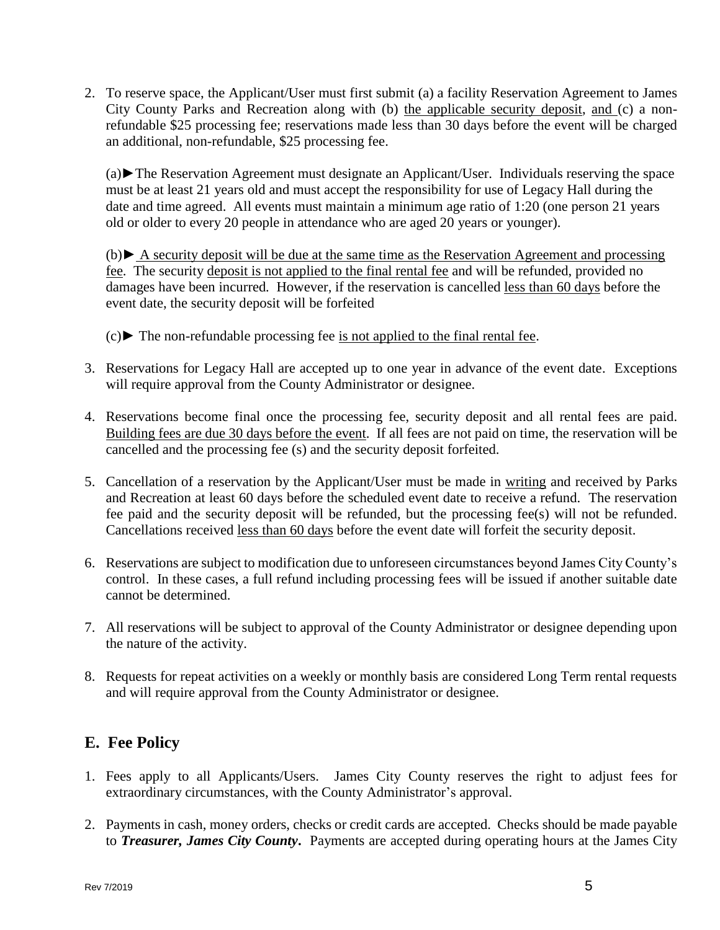2. To reserve space, the Applicant/User must first submit (a) a facility Reservation Agreement to James City County Parks and Recreation along with (b) the applicable security deposit, and (c) a nonrefundable \$25 processing fee; reservations made less than 30 days before the event will be charged an additional, non-refundable, \$25 processing fee.

(a)►The Reservation Agreement must designate an Applicant/User. Individuals reserving the space must be at least 21 years old and must accept the responsibility for use of Legacy Hall during the date and time agreed. All events must maintain a minimum age ratio of 1:20 (one person 21 years old or older to every 20 people in attendance who are aged 20 years or younger).

(b)► A security deposit will be due at the same time as the Reservation Agreement and processing fee. The security deposit is not applied to the final rental fee and will be refunded, provided no damages have been incurred*.* However, if the reservation is cancelled less than 60 days before the event date, the security deposit will be forfeited

- (c)► The non-refundable processing fee is not applied to the final rental fee.
- 3. Reservations for Legacy Hall are accepted up to one year in advance of the event date. Exceptions will require approval from the County Administrator or designee.
- 4. Reservations become final once the processing fee, security deposit and all rental fees are paid. Building fees are due 30 days before the event. If all fees are not paid on time, the reservation will be cancelled and the processing fee (s) and the security deposit forfeited.
- 5. Cancellation of a reservation by the Applicant/User must be made in writing and received by Parks and Recreation at least 60 days before the scheduled event date to receive a refund. The reservation fee paid and the security deposit will be refunded, but the processing fee(s) will not be refunded. Cancellations received less than 60 days before the event date will forfeit the security deposit.
- 6. Reservations are subject to modification due to unforeseen circumstances beyond James City County's control. In these cases, a full refund including processing fees will be issued if another suitable date cannot be determined.
- 7. All reservations will be subject to approval of the County Administrator or designee depending upon the nature of the activity.
- 8. Requests for repeat activities on a weekly or monthly basis are considered Long Term rental requests and will require approval from the County Administrator or designee.

## **E. Fee Policy**

- 1. Fees apply to all Applicants/Users. James City County reserves the right to adjust fees for extraordinary circumstances, with the County Administrator's approval.
- 2. Payments in cash, money orders, checks or credit cards are accepted. Checks should be made payable to *Treasurer, James City County***.** Payments are accepted during operating hours at the James City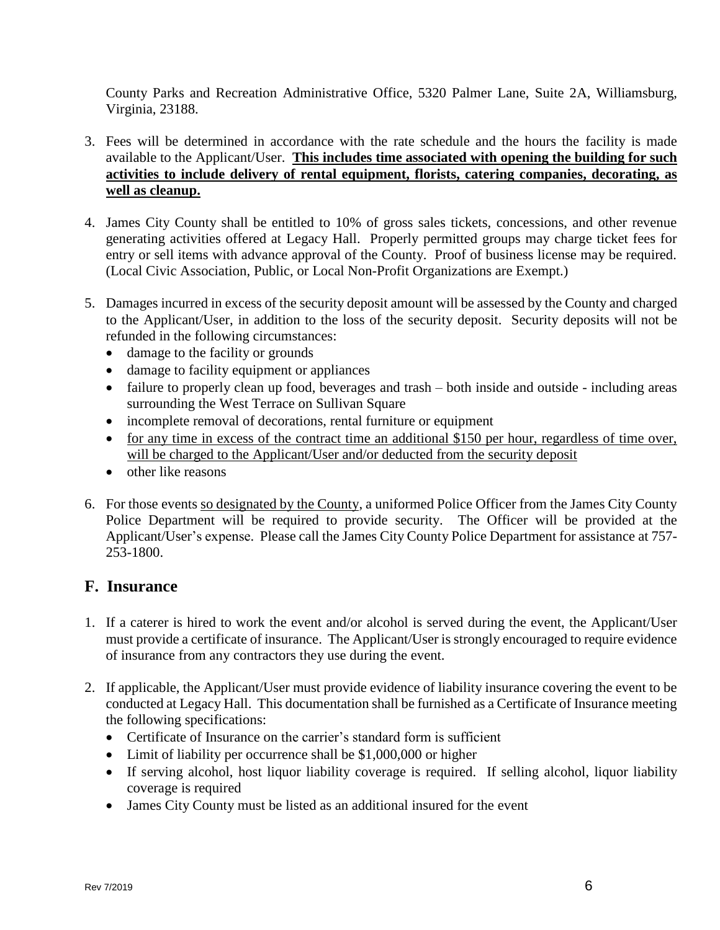County Parks and Recreation Administrative Office, 5320 Palmer Lane, Suite 2A, Williamsburg, Virginia, 23188.

- 3. Fees will be determined in accordance with the rate schedule and the hours the facility is made available to the Applicant/User. **This includes time associated with opening the building for such activities to include delivery of rental equipment, florists, catering companies, decorating, as well as cleanup.**
- 4. James City County shall be entitled to 10% of gross sales tickets, concessions, and other revenue generating activities offered at Legacy Hall. Properly permitted groups may charge ticket fees for entry or sell items with advance approval of the County. Proof of business license may be required. (Local Civic Association, Public, or Local Non-Profit Organizations are Exempt.)
- 5. Damages incurred in excess of the security deposit amount will be assessed by the County and charged to the Applicant/User, in addition to the loss of the security deposit. Security deposits will not be refunded in the following circumstances:
	- damage to the facility or grounds
	- damage to facility equipment or appliances
	- failure to properly clean up food, beverages and trash both inside and outside including areas surrounding the West Terrace on Sullivan Square
	- incomplete removal of decorations, rental furniture or equipment
	- for any time in excess of the contract time an additional \$150 per hour, regardless of time over, will be charged to the Applicant/User and/or deducted from the security deposit
	- other like reasons
- 6. For those events so designated by the County, a uniformed Police Officer from the James City County Police Department will be required to provide security. The Officer will be provided at the Applicant/User's expense. Please call the James City County Police Department for assistance at 757- 253-1800.

## **F. Insurance**

- 1. If a caterer is hired to work the event and/or alcohol is served during the event, the Applicant/User must provide a certificate of insurance. The Applicant/User is strongly encouraged to require evidence of insurance from any contractors they use during the event.
- 2. If applicable, the Applicant/User must provide evidence of liability insurance covering the event to be conducted at Legacy Hall. This documentation shall be furnished as a Certificate of Insurance meeting the following specifications:
	- Certificate of Insurance on the carrier's standard form is sufficient
	- Limit of liability per occurrence shall be \$1,000,000 or higher
	- If serving alcohol, host liquor liability coverage is required. If selling alcohol, liquor liability coverage is required
	- James City County must be listed as an additional insured for the event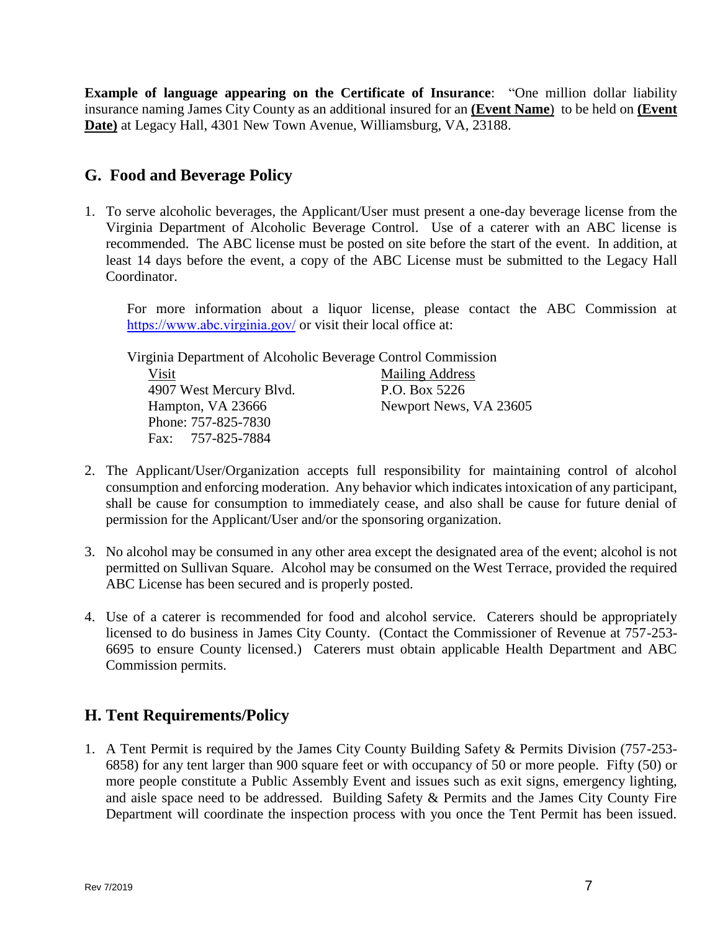**Example of language appearing on the Certificate of Insurance**: "One million dollar liability insurance naming James City County as an additional insured for an **(Event Name**) to be held on **(Event Date)** at Legacy Hall, 4301 New Town Avenue, Williamsburg, VA, 23188.

## **G. Food and Beverage Policy**

1. To serve alcoholic beverages, the Applicant/User must present a one-day beverage license from the Virginia Department of Alcoholic Beverage Control. Use of a caterer with an ABC license is recommended. The ABC license must be posted on site before the start of the event. In addition, at least 14 days before the event, a copy of the ABC License must be submitted to the Legacy Hall Coordinator.

For more information about a liquor license, please contact the ABC Commission at <https://www.abc.virginia.gov/> or visit their local office at:

Virginia Department of Alcoholic Beverage Control Commission Visit Mailing Address 4907 West Mercury Blvd. P.O. Box 5226 Hampton, VA 23666 Newport News, VA 23605 Phone: 757-825-7830 Fax: 757-825-7884

- 2. The Applicant/User/Organization accepts full responsibility for maintaining control of alcohol consumption and enforcing moderation. Any behavior which indicates intoxication of any participant, shall be cause for consumption to immediately cease, and also shall be cause for future denial of permission for the Applicant/User and/or the sponsoring organization.
- 3. No alcohol may be consumed in any other area except the designated area of the event; alcohol is not permitted on Sullivan Square. Alcohol may be consumed on the West Terrace, provided the required ABC License has been secured and is properly posted.
- 4. Use of a caterer is recommended for food and alcohol service. Caterers should be appropriately licensed to do business in James City County. (Contact the Commissioner of Revenue at 757-253- 6695 to ensure County licensed.) Caterers must obtain applicable Health Department and ABC Commission permits.

# **H. Tent Requirements/Policy**

1. A Tent Permit is required by the James City County Building Safety & Permits Division (757-253- 6858) for any tent larger than 900 square feet or with occupancy of 50 or more people. Fifty (50) or more people constitute a Public Assembly Event and issues such as exit signs, emergency lighting, and aisle space need to be addressed. Building Safety & Permits and the James City County Fire Department will coordinate the inspection process with you once the Tent Permit has been issued.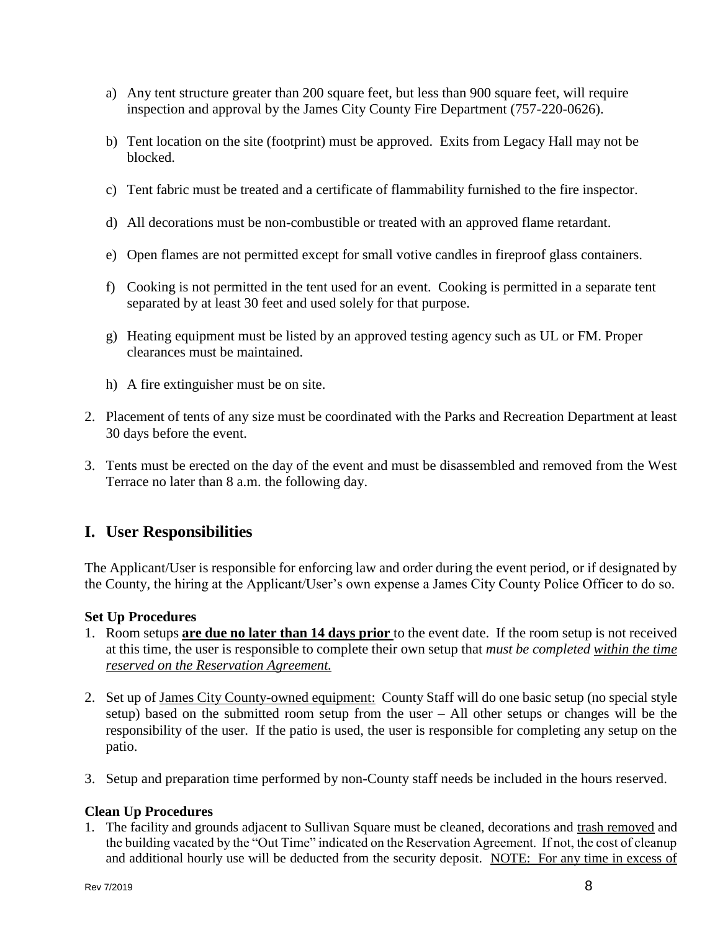- a) Any tent structure greater than 200 square feet, but less than 900 square feet, will require inspection and approval by the James City County Fire Department (757-220-0626).
- b) Tent location on the site (footprint) must be approved. Exits from Legacy Hall may not be blocked.
- c) Tent fabric must be treated and a certificate of flammability furnished to the fire inspector.
- d) All decorations must be non-combustible or treated with an approved flame retardant.
- e) Open flames are not permitted except for small votive candles in fireproof glass containers.
- f) Cooking is not permitted in the tent used for an event. Cooking is permitted in a separate tent separated by at least 30 feet and used solely for that purpose.
- g) Heating equipment must be listed by an approved testing agency such as UL or FM. Proper clearances must be maintained.
- h) A fire extinguisher must be on site.
- 2. Placement of tents of any size must be coordinated with the Parks and Recreation Department at least 30 days before the event.
- 3. Tents must be erected on the day of the event and must be disassembled and removed from the West Terrace no later than 8 a.m. the following day.

## **I. User Responsibilities**

The Applicant/User is responsible for enforcing law and order during the event period, or if designated by the County, the hiring at the Applicant/User's own expense a James City County Police Officer to do so.

### **Set Up Procedures**

- 1. Room setups **are due no later than 14 days prior** to the event date. If the room setup is not received at this time, the user is responsible to complete their own setup that *must be completed within the time reserved on the Reservation Agreement.*
- 2. Set up of James City County-owned equipment: County Staff will do one basic setup (no special style setup) based on the submitted room setup from the user – All other setups or changes will be the responsibility of the user. If the patio is used, the user is responsible for completing any setup on the patio.
- 3. Setup and preparation time performed by non-County staff needs be included in the hours reserved.

### **Clean Up Procedures**

1. The facility and grounds adjacent to Sullivan Square must be cleaned, decorations and trash removed and the building vacated by the "Out Time" indicated on the Reservation Agreement. If not, the cost of cleanup and additional hourly use will be deducted from the security deposit. NOTE: For any time in excess of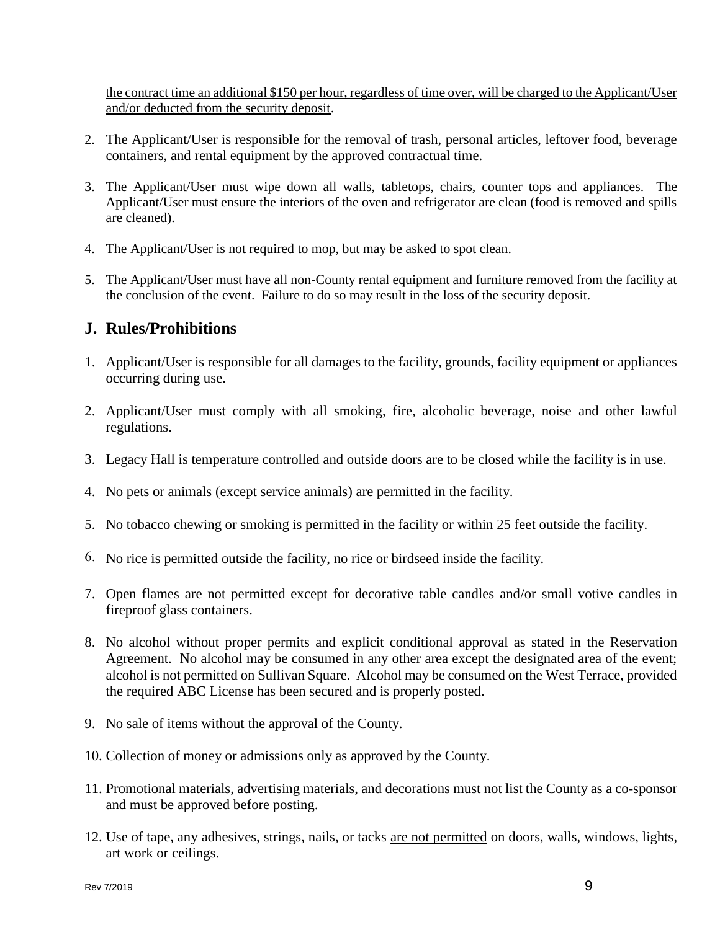the contract time an additional \$150 per hour, regardless of time over, will be charged to the Applicant/User and/or deducted from the security deposit.

- 2. The Applicant/User is responsible for the removal of trash, personal articles, leftover food, beverage containers, and rental equipment by the approved contractual time.
- 3. The Applicant/User must wipe down all walls, tabletops, chairs, counter tops and appliances. The Applicant/User must ensure the interiors of the oven and refrigerator are clean (food is removed and spills are cleaned).
- 4. The Applicant/User is not required to mop, but may be asked to spot clean.
- 5. The Applicant/User must have all non-County rental equipment and furniture removed from the facility at the conclusion of the event. Failure to do so may result in the loss of the security deposit.

## **J. Rules/Prohibitions**

- 1. Applicant/User is responsible for all damages to the facility, grounds, facility equipment or appliances occurring during use.
- 2. Applicant/User must comply with all smoking, fire, alcoholic beverage, noise and other lawful regulations.
- 3. Legacy Hall is temperature controlled and outside doors are to be closed while the facility is in use.
- 4. No pets or animals (except service animals) are permitted in the facility.
- 5. No tobacco chewing or smoking is permitted in the facility or within 25 feet outside the facility.
- 6. No rice is permitted outside the facility, no rice or birdseed inside the facility.
- 7. Open flames are not permitted except for decorative table candles and/or small votive candles in fireproof glass containers.
- 8. No alcohol without proper permits and explicit conditional approval as stated in the Reservation Agreement. No alcohol may be consumed in any other area except the designated area of the event; alcohol is not permitted on Sullivan Square. Alcohol may be consumed on the West Terrace, provided the required ABC License has been secured and is properly posted.
- 9. No sale of items without the approval of the County.
- 10. Collection of money or admissions only as approved by the County.
- 11. Promotional materials, advertising materials, and decorations must not list the County as a co-sponsor and must be approved before posting.
- 12. Use of tape, any adhesives, strings, nails, or tacks are not permitted on doors, walls, windows, lights, art work or ceilings.